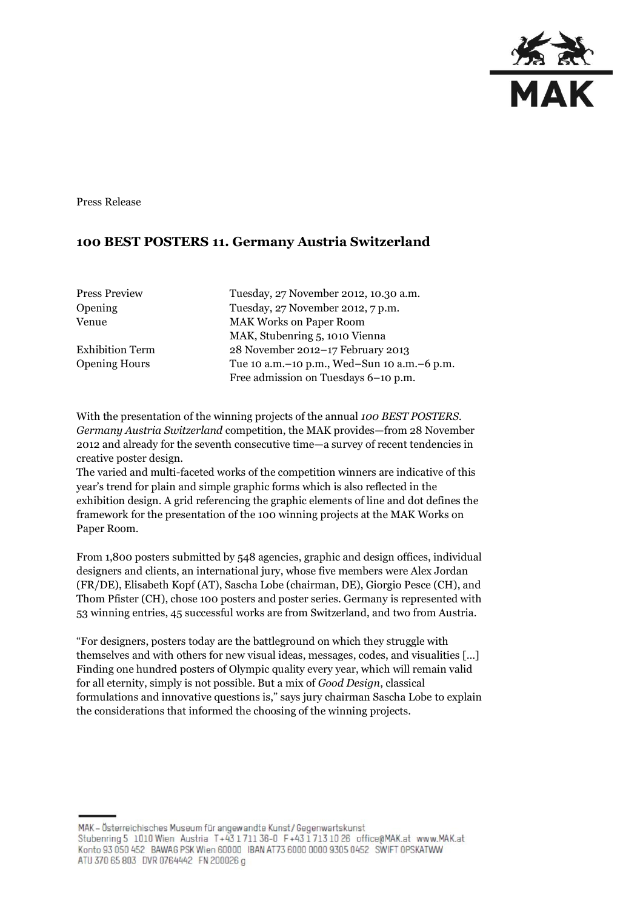

Press Release

## **100 BEST POSTERS 11. Germany Austria Switzerland**

| <b>Press Preview</b>   | Tuesday, 27 November 2012, 10.30 a.m.       |
|------------------------|---------------------------------------------|
| Opening                | Tuesday, 27 November 2012, 7 p.m.           |
| Venue                  | <b>MAK Works on Paper Room</b>              |
|                        | MAK, Stubenring 5, 1010 Vienna              |
| <b>Exhibition Term</b> | 28 November 2012-17 February 2013           |
| <b>Opening Hours</b>   | Tue 10 a.m.-10 p.m., Wed-Sun 10 a.m.-6 p.m. |
|                        | Free admission on Tuesdays 6-10 p.m.        |
|                        |                                             |

With the presentation of the winning projects of the annual *100 BEST POSTERS. Germany Austria Switzerland* competition, the MAK provides—from 28 November 2012 and already for the seventh consecutive time—a survey of recent tendencies in creative poster design.

The varied and multi-faceted works of the competition winners are indicative of this year's trend for plain and simple graphic forms which is also reflected in the exhibition design. A grid referencing the graphic elements of line and dot defines the framework for the presentation of the 100 winning projects at the MAK Works on Paper Room.

From 1,800 posters submitted by 548 agencies, graphic and design offices, individual designers and clients, an international jury, whose five members were Alex Jordan (FR/DE), Elisabeth Kopf (AT), Sascha Lobe (chairman, DE), Giorgio Pesce (CH), and Thom Pfister (CH), chose 100 posters and poster series. Germany is represented with 53 winning entries, 45 successful works are from Switzerland, and two from Austria.

"For designers, posters today are the battleground on which they struggle with themselves and with others for new visual ideas, messages, codes, and visualities […] Finding one hundred posters of Olympic quality every year, which will remain valid for all eternity, simply is not possible. But a mix of *Good Design*, classical formulations and innovative questions is," says jury chairman Sascha Lobe to explain the considerations that informed the choosing of the winning projects.

MAK - Österreichisches Museum für angewandte Kunst/Gegenwartskunst Stubenring 5 1010 Wien Austria T+43 1711 36-0 F+43 1713 10 26 office@MAK.at www.MAK.at Konto 93 050 452 BAWAG PSK Wien 60000 BAN AT73 6000 0000 9305 0452 SWIFT OPSKATWW ATU 370 65 803 DVR 0764442 FN 200026 g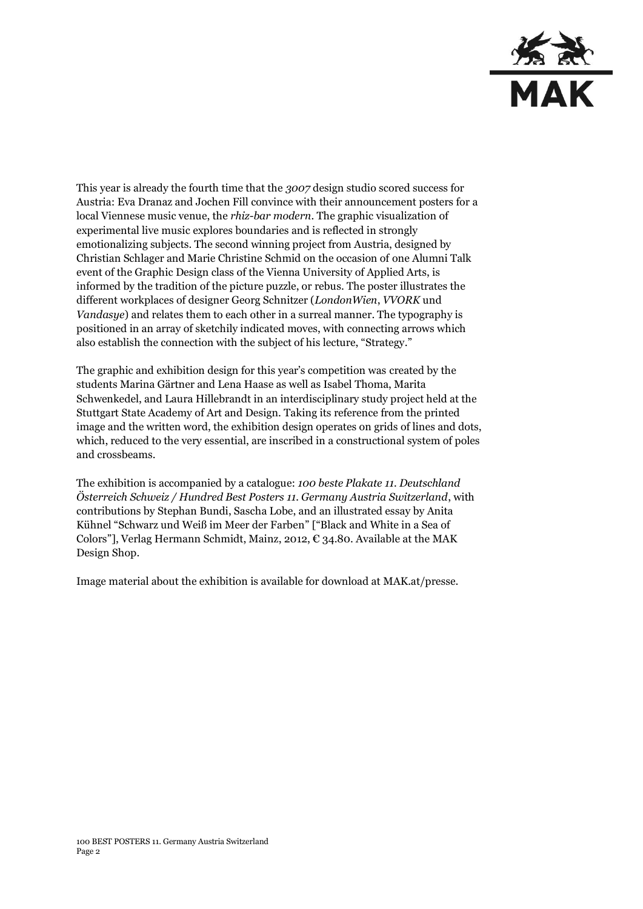

This year is already the fourth time that the *3007* design studio scored success for Austria: Eva Dranaz and Jochen Fill convince with their announcement posters for a local Viennese music venue, the *rhiz-bar modern*. The graphic visualization of experimental live music explores boundaries and is reflected in strongly emotionalizing subjects. The second winning project from Austria, designed by Christian Schlager and Marie Christine Schmid on the occasion of one Alumni Talk event of the Graphic Design class of the Vienna University of Applied Arts, is informed by the tradition of the picture puzzle, or rebus. The poster illustrates the different workplaces of designer Georg Schnitzer (*LondonWien*, *VVORK* und *Vandasye*) and relates them to each other in a surreal manner. The typography is positioned in an array of sketchily indicated moves, with connecting arrows which also establish the connection with the subject of his lecture, "Strategy."

The graphic and exhibition design for this year's competition was created by the students Marina Gärtner and Lena Haase as well as Isabel Thoma, Marita Schwenkedel, and Laura Hillebrandt in an interdisciplinary study project held at the Stuttgart State Academy of Art and Design. Taking its reference from the printed image and the written word, the exhibition design operates on grids of lines and dots, which, reduced to the very essential, are inscribed in a constructional system of poles and crossbeams.

The exhibition is accompanied by a catalogue: *100 beste Plakate 11. Deutschland Österreich Schweiz / Hundred Best Posters 11. Germany Austria Switzerland*, with contributions by Stephan Bundi, Sascha Lobe, and an illustrated essay by Anita Kühnel "Schwarz und Weiß im Meer der Farben" ["Black and White in a Sea of Colors"], Verlag Hermann Schmidt, Mainz, 2012,  $\epsilon$  34.80. Available at the MAK Design Shop.

Image material about the exhibition is available for download at MAK.at/presse.